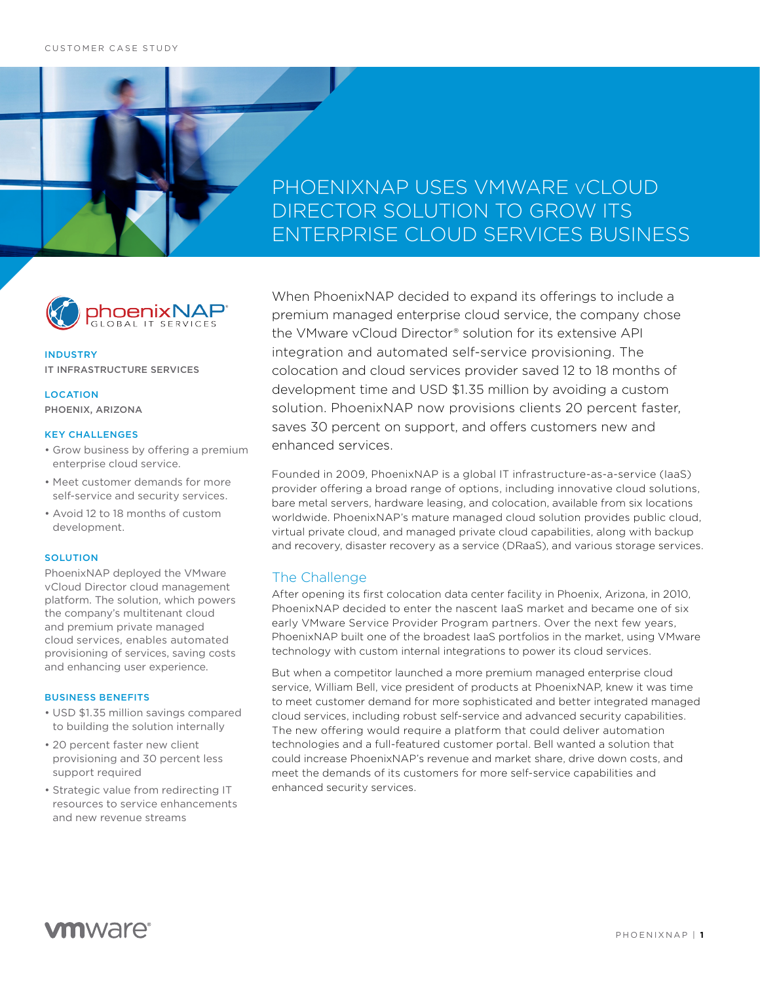## PHOENIXNAP USES VMWARE vCLOUD DIRECTOR SOLUTION TO GROW ITS ENTERPRISE CLOUD SERVICES BUSINESS



## INDUSTRY IT INFRASTRUCTURE SERVICES

### **LOCATION** PHOENIX, ARIZONA

#### KEY CHALLENGES

- Grow business by offering a premium enterprise cloud service.
- Meet customer demands for more self-service and security services.
- Avoid 12 to 18 months of custom development.

#### **SOLUTION**

PhoenixNAP deployed the VMware vCloud Director cloud management platform. The solution, which powers the company's multitenant cloud and premium private managed cloud services, enables automated provisioning of services, saving costs and enhancing user experience.

#### BUSINESS BENEFITS

- USD \$1.35 million savings compared to building the solution internally
- 20 percent faster new client provisioning and 30 percent less support required
- Strategic value from redirecting IT resources to service enhancements and new revenue streams

When PhoenixNAP decided to expand its offerings to include a premium managed enterprise cloud service, the company chose the VMware vCloud Director® solution for its extensive API integration and automated self-service provisioning. The colocation and cloud services provider saved 12 to 18 months of development time and USD \$1.35 million by avoiding a custom solution. PhoenixNAP now provisions clients 20 percent faster, saves 30 percent on support, and offers customers new and enhanced services.

Founded in 2009, PhoenixNAP is a global IT infrastructure-as-a-service (IaaS) provider offering a broad range of options, including innovative cloud solutions, bare metal servers, hardware leasing, and colocation, available from six locations worldwide. PhoenixNAP's mature managed cloud solution provides public cloud, virtual private cloud, and managed private cloud capabilities, along with backup and recovery, disaster recovery as a service (DRaaS), and various storage services.

## The Challenge

After opening its first colocation data center facility in Phoenix, Arizona, in 2010, PhoenixNAP decided to enter the nascent IaaS market and became one of six early VMware Service Provider Program partners. Over the next few years, PhoenixNAP built one of the broadest IaaS portfolios in the market, using VMware technology with custom internal integrations to power its cloud services.

But when a competitor launched a more premium managed enterprise cloud service, William Bell, vice president of products at PhoenixNAP, knew it was time to meet customer demand for more sophisticated and better integrated managed cloud services, including robust self-service and advanced security capabilities. The new offering would require a platform that could deliver automation technologies and a full-featured customer portal. Bell wanted a solution that could increase PhoenixNAP's revenue and market share, drive down costs, and meet the demands of its customers for more self-service capabilities and enhanced security services.

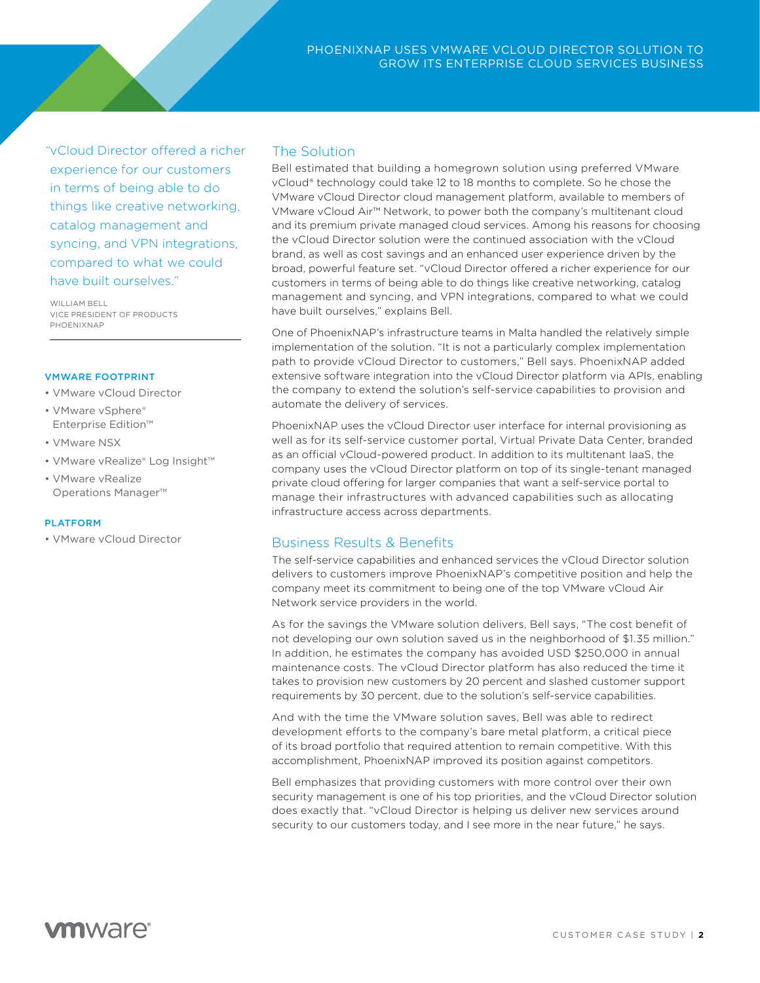*"*vCloud Director offered a richer experience for our customers in terms of being able to do things like creative networking, catalog management and syncing, and VPN integrations, compared to what we could have built ourselves."

WILLIAM RELL VICE PRESIDENT OF PRODUCTS PHOENIXNAP

#### VMWARE FOOTPRINT

- VMware vCloud Director
- VMware vSphere® Enterprise Edition™
- VMware NSX
- VMware vRealize® Log Insight™
- VMware vRealize Operations Manager™

#### PLATFORM

• VMware vCloud Director

### The Solution

Bell estimated that building a homegrown solution using preferred VMware vCloud® technology could take 12 to 18 months to complete. So he chose the VMware vCloud Director cloud management platform, available to members of VMware vCloud Air™ Network, to power both the company's multitenant cloud and its premium private managed cloud services. Among his reasons for choosing the vCloud Director solution were the continued association with the vCloud brand, as well as cost savings and an enhanced user experience driven by the broad, powerful feature set. "vCloud Director offered a richer experience for our customers in terms of being able to do things like creative networking, catalog management and syncing, and VPN integrations, compared to what we could have built ourselves," explains Bell.

One of PhoenixNAP's infrastructure teams in Malta handled the relatively simple implementation of the solution. "It is not a particularly complex implementation path to provide vCloud Director to customers," Bell says. PhoenixNAP added extensive software integration into the vCloud Director platform via APIs, enabling the company to extend the solution's self-service capabilities to provision and automate the delivery of services.

PhoenixNAP uses the vCloud Director user interface for internal provisioning as well as for its self-service customer portal, Virtual Private Data Center, branded as an official vCloud-powered product. In addition to its multitenant IaaS, the company uses the vCloud Director platform on top of its single-tenant managed private cloud offering for larger companies that want a self-service portal to manage their infrastructures with advanced capabilities such as allocating infrastructure access across departments.

## Business Results & Benefits

The self-service capabilities and enhanced services the vCloud Director solution delivers to customers improve PhoenixNAP's competitive position and help the company meet its commitment to being one of the top VMware vCloud Air Network service providers in the world.

As for the savings the VMware solution delivers, Bell says, "The cost benefit of not developing our own solution saved us in the neighborhood of \$1.35 million." In addition, he estimates the company has avoided USD \$250,000 in annual maintenance costs. The vCloud Director platform has also reduced the time it takes to provision new customers by 20 percent and slashed customer support requirements by 30 percent, due to the solution's self-service capabilities.

And with the time the VMware solution saves, Bell was able to redirect development efforts to the company's bare metal platform, a critical piece of its broad portfolio that required attention to remain competitive. With this accomplishment, PhoenixNAP improved its position against competitors.

Bell emphasizes that providing customers with more control over their own security management is one of his top priorities, and the vCloud Director solution does exactly that. "vCloud Director is helping us deliver new services around security to our customers today, and I see more in the near future," he says.